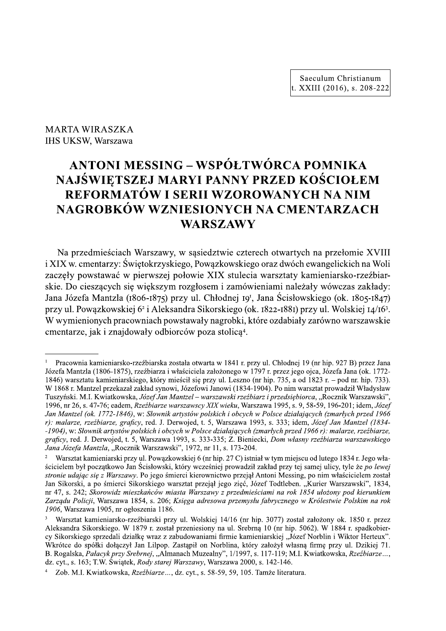IHS UKSW, Warszawa

## MARTA WIRASZKA<br>
IHS UKSW, Warszawa<br> **ANTONI MESSI<br>
NAJŚWIĘTSZEJ N<br>
REFORMATÓW**<br>
NAGROBKÓW WZ  $+$ ANTONI MESSING – WSPÓŁTWÓRCA POMNIKA NAJŚWIĘTSZEJ MARYI PANNY PRZED KOŚCIOŁEM REFORMATÓW I SERII WZOROWANYCH NA NIM NAGROBKÓW WZNIESIONYCH NA CMENTARZACH WARSZAWY

Na przedmiesciach Warszawy, w sąsiedztwie czterech otwartych na przełomie XVIII i XIX w. cmentarzy: Swiętokrzyskiego, Powązkowskiego oraz dwoch ewangelickich na Woli zaczęły powstawać w pierwszej połowie XIX stulecia warsztaty kamieniarsko-rzeżbiarskie. Do cieszących się większym rozgłosem i zamowieniami nalezały wowczas zakłady: Jana Józefa Mantzla (1806-1875) przy ul. Chłodnej 19<sup>1</sup>, Jana Scisłowskiego (ok. 1805-1847) przy ul. Powązkowskiej 6<sup>2</sup> i Aleksandra Sikorskiego (ok. 1822-1881) przy ul. Wolskiej 14/16<sup>3</sup>. W wymienionych pracowniach powstawały nagrobki, ktore ozdabiały zarowno warszawskie cmentarze, jak i znajdowały odbiorców poza stolicą<sup>4</sup>.

<sup>&</sup>lt;sup>1</sup> Pracownia kamieniarsko-rzeźbiarska została otwarta w 1841 r. przy ul. Chłodnej 19 (nr hip. 927 B) przez Jana Jozefa Mantzia (1806-1875), rzezbiarza i własciciela założonego w 1797 r. przez jego ojca, Jozefa Jana (ok. 1772-1846) warsztatu kamieniarskiego, który miescił się przy ul. Leszno (nr hip. 735, a od 1823 r. – pod nr. hip. 733). W 1868 r. Mantzel przekazał zakład synowi, Jozefowi Janowi (1834-1904). Po nim warsztat pro cmentarze, jak i znajdowały odbiorców poza stolicą<sup>4</sup>.<br>
Pracownia kamieniarsko-rzeźbiarska została otwarta w 1841 r. przy ul. Chłodnej 19 (nr hip. 927 B) przez Jana<br>
Józefa Mantzla (1806-1875), rzeźbiarza i właściciela zał Tuszyński. M.I. Kwiatkowska, Józef Jan Mantzel - warszawski rzeźbiarz i przedsiębiorca, "Rocznik Warszawski", 1996, nr 26, s. 4/-/6; eadem, *Rzezbiarze warszawscy XIX wieku*, Warszawa 1995, s. 9, 58-59, 196-201; idem, *Jozef* Jan Mantzel (ok. 1772-1846), w: Słownik artystów polskich i obcych w Polsce działających (zmarłych przed 1966 r): malarze, rzezbiarze, graficy, red. J. Derwojed, t. 5, Warszawa 1993, s. 333; idem, *Jozef Jan Mantzel (1834-*-1904), w: Słownik artystów polskich i obcych w Polsce działających (zmarłych przed 1966 r): malarze, rzeźbiarze, graficy, red. J. Derwojed, t. 5, Warszawa 1993, s. 333-335; Z. Bieniecki, *Dom własny rzezbiarza warszawskiego* J*ana Jozefa Mantzla*, "Rocznik Warszawski", 1972, nr 11, s. 173-204.

<sup>&</sup>lt;sup>2</sup> Warsztat kamieniarski przy ul. Powązkowskiej 6 (nr hip. 27 C) istniał w tym miejscu od lutego 1834 r. Jego włascicielem był początkowo Jan Scisłowski, ktory wczesniej prowadził zakład przy tej samej ulicy, tyle ze *po lewej* stronie udając się z Warszawy. Po jego smierci kierownictwo przejął Antoni Messing, po nim włascicielem został Jan Sikorski, a po smierci Sikorskiego warsztat przejął jego zięc, Jozef Todtleben. "Kurier Warszawski", 1834, obcych w Polsce działających (zmarłych przed 19<br>
zawa 1993, s. 333; idem, Józef Jan Mantzel (183<br>
jących (zmarłych przed 1966 r): malarze, rzeźbiar<br>
Z. Bieniecki, Dom własny rzeźbiarza warszawskie<br>
173-204.<br>
Z. Distniał w nr 41, s. 242; Skorowidz mieszkancow miasta Warszawy z przedmiesciami na rok 1854 ułożony pod kierunkiem Zarządu Policji, Warszawa 1854, s. 206; Księga adresowa przemysłu jabrycznego w Krolestwie Polskim na rok 1906, Warszawa 1905, nr ogłoszenia 1186.

<sup>&</sup>lt;sup>3</sup> Warsztat kamieniarsko-rzeźbiarski przy ul. Wolskiej 14/16 (nr hip. 3077) został założony ok. 1850 r. przez Aleksandra Sikorskiego. W 1879 r. został przeniesiony na ul. Srebrną 10 (nr hip. 5062). W 1884 r. spadkobiercy Sikorskiego sprzedali działkę wraz z zabudowaniami firmie kamieniarskiej "Jozef Norblin i Wiktor Herteux". Wkrotce do społki dołączył Jan Lilpop. Zastąpił on Norblina, ktory założył własną firmę przy ul. Dzikiej /1. B. Rogalska, Pałacyk przy Srebrnej, "Almanach Muzealny", 1/1997, s. 117-119; M.I. Kwiatkowska, Rzeźbiarze..., Jam Sikorski, a po śmierci Sikorskiego warsztat przejął jego zięć, Józef Todtleben. "Kurier Warszawski", 1834, mr 47, s. 242; Skorowidz mieszkańców miasta Warszawy z przedmieściami na rok *I84xa Wabcayy pod kierunkiem*<br>Zar k, *Rody starej Warszawy*, Warszawa 2000, s. 142-146. Zarządu Policji, Warszawa 1854, s. 206; Księga adresowa przemysłu Jabryc 1906, Warszawa 1905, nr ogłoszenia 1186.<br>
<sup>3</sup> Warsztat kamieniarsko-rzeźbiarski przy ul. Wolskiej 14/16 (nr hip. 307<sup>2</sup>.<br>
Aleksandra Sikorskiego. W 1

literatura.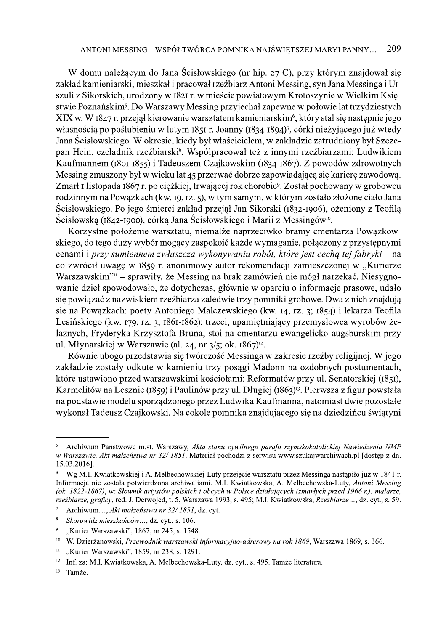ANTONI MESSING – WSPÔŁTWÔRCA POMNIKA NAJŚWIĘTSZEJ MARYI PANNY... 209<br>W domu należącym do Jana Ścisłowskiego (nr hip. 27 C), przy którym znajdował się<br>zakład kamieniarski, mieszkał i pracował rzeźbiarz Antoni Messing, syn AVTONI MESSING – WSPÓŁTWÓRCA POMNIKA NAIŚWIĘTSZEJ MARYI PANNY... 209<br>W domu należącym do Jana Ścisłowskiego (nr hip. 27 C), przy którym znajdował się<br>zakład kamienieski. mieszkał pracował zrzeźbarz Altonii Messing, syn Ja

ana sostowskiego, w okreste, ktego byt wastociechni, w zakonize zaruoniony byt szczenia pa nielin, czeladnik trachinakie", Wąpółpracował też z innymi rzeźbiarzami: Ludwikiem Ramimamem (R60-1955) Tadeuszcm Czajkowskiego, M EO zwrociu twagę w 1639) F. amolimowy autor rekolinkulacji zamieszczoniej wyspieracji zamieszczoniej w "Kurerze maracharius" – sprawiły, że Messing na britic zamównie iniegł narzekać. Niesygno-<br>wanie dzieł spowodowało, że

<sup>93,</sup> s. 495; M.I. Kwiatkowska, *Rzeżbiarze* ..., dz. cyt., s. 59. stanu cywilnego parafii rzymskokatolickiej Nawiedzenia NMP<br>
riał pochodzi z serwisu www.szukajwarchiwach.pl [dostęp z dn.<br>
Luty przejęcie warsztatu przez Messinga nastąpiło już w 1841 r.<br>
ni. M.I. Kwiatkowska, A. Melbechow S Archiwum Państwowe m.st. Warszawy, Akta stanu<br>w Warszawie, Akt małżeństwa nr 32/1851. Materiał po<br>15.03.2016].<br>% Wg M.I. Kwiatkowskiej i A. Melbechowskiej-Luty p<br>Informacja nie została potwierdzona archiwaliami. M.I<br>(ok 15.03.2016].<br>
<sup>6</sup> Wg M.I. Kwiatkowskiej i A. Melbechowskiej-Luty przejęcie warsztatu przez Messinga nastąpiło jo<br>
Informacja ne została potwierdzona archiwaliami. M.I. Kwiatkowska, A. Melbechowska-Luty, *Anthely.*<br> *Gk. 1* Informacja nie została potwierdzona archiwalia<br>
(ok. 1822-1867), w: Słownik artystów polskich i<br>
rzeźbiarze, graficy, red. J. Derwojed, t. 5, Warsz<br>
<sup>7</sup> Archiwum..., Akt malżeństwa nr 32/1851, c<br>
<sup>8</sup> Skorowidz mieszkańców (ok. 1822-1867), w: Slownik artystów polskich i obcych w Polsce dzia<br>rzeźbiarze, graficy, red. J. Derwojed, t. 5, Warszawa 1993, s. 495; M.I.<br><sup>7</sup> Archiwum..., Akt malżeństwa nr 32/ 1851, dz. cyt.<br>8. Skorowidz mieszkańców. (ok. 1822-1867), w: Slownik artystów polskich i obcych w Polsce działających (zmarłych przed 1966 r.).<br>rzeźbiarze, graficy, red. J. Derwojed, t. 5, Warszawa 1993, s. 495; M.I. Kwiatkowska, Rzeźbiarze..., dz. o<br>
<sup>8</sup> Skorow

<sup>&</sup>lt;sup>10</sup> W. Dzierżanowski, Przewodnik warszawski informacyjno-adresowy na rok 1869, Warszawa 1869, s. 366.

<sup>,</sup> nr 238, s. 1291.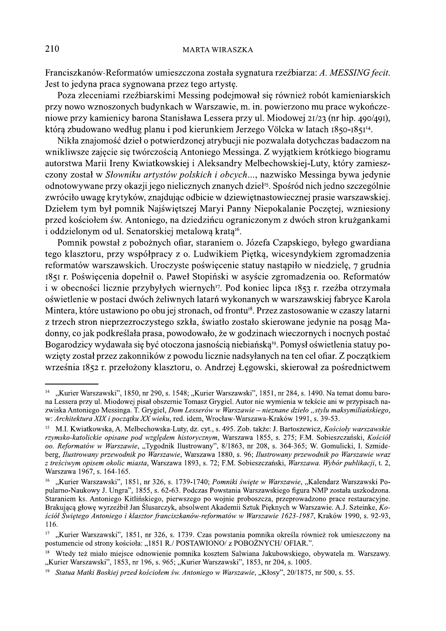Franciszkanów-Reformatów umieszczona została sygnatura rzeźbiarza: A. MESSING fecit. Jest to jedyna praca sygnowana przez tego artystę.

Poza zleceniami rzeźbiarskimi Messing podejmował się również robót kamieniarskich przy nowo wznoszonych budynkach w Warszawie, m. in. powierzono mu prace wykończeniowe przy kamienicy barona Stanisława Lessera przy ul. Miodowej 21/23 (nr hip. 490/491), którą zbudowano według planu i pod kierunkiem Jerzego Völcka w latach 1850-1851<sup>14</sup>.

Nikła znajomość dzieł o potwierdzonej atrybucji nie pozwalała dotychczas badaczom na wnikliwsze zajęcie się twórczością Antoniego Messinga. Z wyjątkiem krótkiego biogramu autorstwa Marii Ireny Kwiatkowskiej i Aleksandry Melbechowskiej-Luty, który zamieszczony został w Słowniku artystów polskich i obcych..., nazwisko Messinga bywa jedynie odnotowywane przy okazji jego nielicznych znanych dzieł<sup>15</sup>. Spośród nich jedno szczególnie zwróciło uwagę krytyków, znajdując odbicie w dziewiętnastowiecznej prasie warszawskiej. Dziełem tym był pomnik Najświętszej Maryi Panny Niepokalanie Poczętej, wzniesiony przed kościołem św. Antoniego, na dziedzińcu ograniczonym z dwóch stron krużgankami i oddzielonym od ul. Senatorskiej metalowa krata<sup>16</sup>.

Pomnik powstał z pobożnych ofiar, staraniem o. Józefa Czapskiego, byłego gwardiana tego klasztoru, przy współpracy z o. Ludwikiem Piętką, wicesyndykiem zgromadzenia reformatów warszawskich. Uroczyste poświęcenie statuy nastąpiło w niedzielę, 7 grudnia 1851 r. Poświęcenia dopełnił o. Paweł Stopiński w asyście zgromadzenia oo. Reformatów i w obecności licznie przybyłych wiernych<sup>17</sup>. Pod koniec lipca 1853 r. rzeźba otrzymała oświetlenie w postaci dwóch żeliwnych latarń wykonanych w warszawskiej fabryce Karola Mintera, które ustawiono po obu jej stronach, od frontu<sup>18</sup>. Przez zastosowanie w czaszy latarni z trzech stron nieprzezroczystego szkła, światło zostało skierowane jedynie na posąg Madonny, co jak podkreślała prasa, powodowało, że w godzinach wieczornych i nocnych postać Bogarodzicy wydawała się być otoczona jasnością niebiańską<sup>19</sup>. Pomysł oświetlenia statuy powzięty został przez zakonników z powodu licznie nadsyłanych na ten cel ofiar. Z początkiem września 1852 r. przełożony klasztoru, o. Andrzej Łęgowski, skierował za pośrednictwem

 $14$ "Kurier Warszawski", 1850, nr 290, s. 1548; "Kurier Warszawski", 1851, nr 284, s. 1490. Na temat domu barona Lessera przy ul. Miodowej pisał obszernie Tomasz Grygiel. Autor nie wymienia w tekście ani w przypisach nazwiska Antoniego Messinga. T. Grygiel, Dom Lesserów w Warszawie – nieznane dzieło "stylu maksymiliańskiego, w: Architektura XIX i poczatku XX wieku, red. idem, Wrocław-Warszawa-Kraków 1991, s. 39-53.

 $15 -$ M.I. Kwiatkowska, A. Melbechowska-Luty, dz. cyt., s. 495. Zob. także: J. Bartoszewicz, Kościoły warszawskie rzymsko-katolickie opisane pod względem historycznym, Warszawa 1855, s. 275; F.M. Sobieszczański, Kościół oo. Reformatów w Warszawie, "Tygodnik Ilustrowany", 8/1863, nr 208, s. 364-365; W. Gomulicki, I. Szmideberg, Ilustrowany przewodnik po Warszawie, Warszawa 1880, s. 96; Ilustrowany przewodnik po Warszawie wraz z treściwym opisem okolic miasta, Warszawa 1893, s. 72; F.M. Sobieszczański, Warszawa. Wybór publikacji, t. 2, Warszawa 1967, s. 164-165.

<sup>16</sup> "Kurier Warszawski", 1851, nr 326, s. 1739-1740; Pomniki świete w Warszawie, "Kalendarz Warszawski Popularno-Naukowy J. Ungra", 1855, s. 62-63. Podczas Powstania Warszawskiego figura NMP została uszkodzona. Staraniem ks. Antoniego Kitlińskiego, pierwszego po wojnie proboszcza, przeprowadzono prace restauracyjne. Brakującą głowe wyrzeźbił Jan Ślusarczyk, absolwent Akademii Sztuk Pieknych w Warszawie, A.J. Szteinke, Kościół Świętego Antoniego i klasztor franciszkanów-reformatów w Warszawie 1623-1987, Kraków 1990, s. 92-93, 116.

<sup>17 &</sup>quot;Kurier Warszawski", 1851, nr 326, s. 1739. Czas powstania pomnika określa również rok umieszczony na postumencie od strony kościoła: "1851 R./ POSTAWIONO/ z POBOŻNYCH/ OFIAR.".

<sup>&</sup>lt;sup>18</sup> Wtedy też miało miejsce odnowienie pomnika kosztem Salwiana Jakubowskiego, obywatela m. Warszawy. "Kurier Warszawski", 1853, nr 196, s. 965; "Kurier Warszawski", 1853, nr 204, s. 1005.

Statua Matki Boskiej przed kościołem św. Antoniego w Warszawie, "Kłosy", 20/1875, nr 500, s. 55.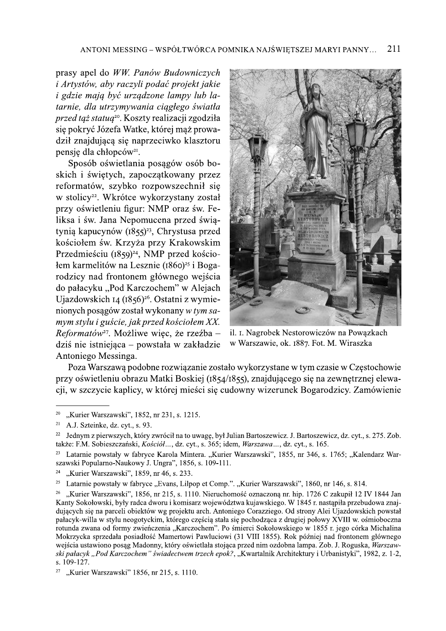Sposob oswietlania posągow osob boskich i świętych, zapoczątkowany przez reformatów, szybko rozpowszechnił się w stolicy<sup>22</sup>. Wkrótce wykorzystany został<br>przy oświetleniu figur: NMP oraz św. Feliksa i św. Jana Nepomucena przed świątynią kapucynów  $(1855)^{23}$ , Chrystusa przed kościołem św. Krzyża przy Krakowskim Przedmieściu (1859)<sup>24</sup>, NMP przed kościołem karmelitów na Lesznie (1860)<sup>25</sup> i Bogarodzicy nad frontonem głównego wejścia do pałacyku "Pod Karczochem" w Alejach Ujazdowskich 14 (1856)<sup>26</sup>. Ostatni z wymienionych posagów został wykonany w tym sa-Uynią kapucynow (1855)<sup>-2</sup>, Cnrystusa przed<br>
kościołem św. Krzyża przy Krakowskim<br>
Przedmieściu (1859)<sup>24</sup>, NMP przed kościo-<br>
łem karmelitów na Lesznie (1860)<sup>25</sup> i Boga-<br>
rodzicy nad frontonem głównego wejścia<br>
do pałac Antoniego Messinga.



il. I. Nagrobek Nestorowiczów na Powazkach w Warszawie, ok. 1887. Fot. M. Wiraszka

Poza Warszawa podobne rozwiązanie zostało wykorzystane w tym czasie w Częstochowie przy oświetleniu obrazu Matki Boskiej (1854/1855), znajdującego się na zewnętrznej elewacji, w szczycie kaplicy, w której mieści się cudowny wizerunek Bogarodzicy. Zamówienie

<sup>&</sup>lt;sup>20</sup> "Kurier Warszawski", 1852, nr 231, s. 1215.<br><sup>21</sup> A I Szteinke dz cyt s 93

 $^{21}$  A.J. Szteinke, dz. cyt., s. 93.

<sup>&</sup>lt;sup>22</sup> Jednym z pierwszych, który zwrócił na to uwagę, był Julian Bartoszewicz. J. Bartoszewicz, dz. cyt., s. 275. Zob. takze: F.M. Sobieszczanski, *Koscioł...*, dz. cyt., s. 365; idem, *Warszawa...*, dz. cyt., s. 165.

<sup>&</sup>lt;sup>23</sup> Latarnie powstały w fabryce Karola Mintera. "Kurier Warszawski", 1855, nr 346, s. 1765; "Kalendarz Warszawski Popularno-Naukowy J. Ungra", 1856, s. 109-111.<br> $\frac{24}{\pi}$  Kurier Werszawski", 1850, pr. 46, s. 233

<sup>&</sup>lt;sup>24</sup> "Kurier Warszawski", 1859, nr 46, s. 233.<br><sup>25</sup> Latarnie powstały w fabryce. Evans Lilp

<sup>&</sup>lt;sup>25</sup> Latarnie powstały w fabryce "Evans, Lilpop et Comp.". "Kurier Warszawski", 1860, nr 146, s. 814.<br><sup>26</sup> Kurier Warszawski", 1856, nr 215, s. 1110, Nieruchomość oznaczona pr. bin. 1726 C zakupił 12 E

<sup>&</sup>quot;Kurier Warszawski", 1856, nr 215, s. 1110. Nieruchomość oznaczona nr. hip. 1726 C zakupił 12 IV 1844 Jan Kanty Sokołowski, były radca dworu i komisarz wojewodztwa kujawskiego. W 1845 r. nastąpiła przebudowa znajdujących się na parceli obiektow wg projektu arch. Antoniego Corazziego. Od strony Alei Ujazdowskich powstał pałacyk-willa w stylu neogotyckim, którego częścią stała się pochodząca z drugiej połowy XVIII w. ośmioboczna rotunda zwana od formy zwienczenia "Karczochem". Po smierci Sokołowskiego w 1855 r. jego corka Michalina Mokrzycka sprzedała posiadłość Mamertowi Pawluciowi (31 VIII 1855). Rok później nad frontonem głównego<br>wejścia ustawiono posąg Madonny, który oświetlała stojąca przed nim ozdobna lampa. Zob. J. Roguska, Warszaw-<sup>25</sup> Latarnie powstały w fabryce "Evans, Lilpop et Comp.", "Kurier Warszawski", 1860, nr 146, s. 814.<br><sup>26</sup> "Kurier Warszawski", 1856, nr 215, s. 1110. Nieruchomość oznaczoną m. hip. 1726 C zakupił 12 IV 1844 Jan<br>Kanty Sok ski pałacyk "Pod Karczochem" świadectwem trzech epok?, "Kwartalnik Architektury i Urbanistyki", 1982, z. 1-2, s. 109-127.

<sup>&</sup>quot;Kurier Warszawski" 1856, nr 215, s. 1110.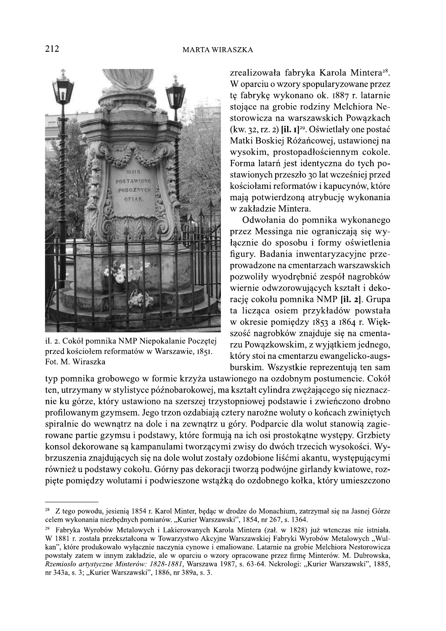

il. 2. Cokół pomnika NMP Niepokalanie Poczętej przed kościołem reformatów w Warszawie, 1851. Fot. M. Wiraszka

zrealizowała fabryka Karola Mintera<sup>28</sup>. W oparciu o wzory spopularyzowane przez te fabryke wykonano ok. 1887 r. latarnie stojące na grobie rodziny Melchiora Nestorowicza na warszawskich Powązkach (kw. 32, rz. 2)  $\left[ i \right]$ .  $I^{29}$ . Oświetlały one postać Matki Boskiej Różańcowej, ustawionej na wysokim, prostopadłościennym cokole. Forma latarń jest identyczna do tych postawionych przeszło 30 lat wcześniej przed kościołami reformatów i kapucynów, które mają potwierdzoną atrybucję wykonania w zakładzie Mintera.

Odwołania do pomnika wykonanego przez Messinga nie ograniczają się wyłącznie do sposobu i formy oświetlenia figury. Badania inwentaryzacyjne przeprowadzone na cmentarzach warszawskich pozwoliły wyodrębnić zespół nagrobków wiernie odwzorowujących kształt i dekoracje cokołu pomnika NMP [il. 2]. Grupa ta licząca osiem przykładów powstała w okresie pomiędzy 1853 a 1864 r. Większość nagrobków znajduje się na cmentarzu Powązkowskim, z wyjątkiem jednego, który stoi na cmentarzu ewangelicko-augsburskim. Wszystkie reprezentują ten sam

typ pomnika grobowego w formie krzyża ustawionego na ozdobnym postumencie. Cokół ten, utrzymany w stylistyce późnobarokowej, ma kształt cylindra zweżającego się nieznacznie ku górze, który ustawiono na szerszej trzystopniowej podstawie i zwieńczono drobno profilowanym gzymsem. Jego trzon ozdabiają cztery narożne woluty o końcach zwiniętych spiralnie do wewnątrz na dole i na zewnątrz u góry. Podparcie dla wolut stanowią zagierowane partie gzymsu i podstawy, które formują na ich osi prostokątne występy. Grzbiety konsol dekorowane są kampanulami tworzącymi zwisy do dwóch trzecich wysokości. Wybrzuszenia znajdujących się na dole wolut zostały ozdobione liśćmi akantu, występującymi również u podstawy cokołu. Górny pas dekoracji tworzą podwójne girlandy kwiatowe, rozpięte pomiędzy wolutami i podwieszone wstążką do ozdobnego kołka, który umieszczono

<sup>28</sup> Z tego powodu, jesienia 1854 r. Karol Minter, bedac w drodze do Monachium, zatrzymał się na Jasnej Górze celem wykonania niezbędnych pomiarów. "Kurier Warszawski", 1854, nr 267, s. 1364.

Fabryka Wyrobów Metalowych i Lakierowanych Karola Mintera (zał. w 1828) już wtenczas nie istniała. W 1881 r. została przekształcona w Towarzystwo Akcyine Warszawskiej Fabryki Wyrobów Metalowych "Wulkan", które produkowało wyłacznie naczynia cynowe i emaliowane. Latarnie na grobie Melchiora Nestorowicza powstały zatem w innym zakładzie, ale w oparciu o wzory opracowane przez firme Minterów. M. Dubrowska, Rzemiosło artystyczne Minterów: 1828-1881, Warszawa 1987, s. 63-64. Nekrologi: "Kurier Warszawski", 1885, nr 343a, s. 3; "Kurier Warszawski", 1886, nr 389a, s. 3.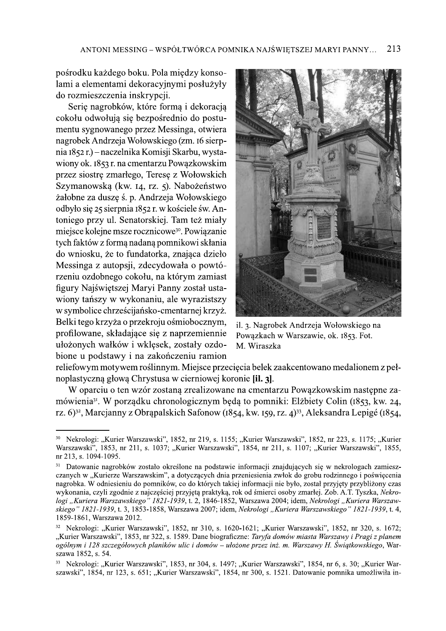pośrodku każdego boku. Pola między konsolami a elementami dekoracyjnymi posłużyły do rozmieszczenia inskrypcji.

Serie nagrobków, które formą i dekoracją cokołu odwołują się bezpośrednio do postumentu sygnowanego przez Messinga, otwiera nagrobek Andrzeja Wołowskiego (zm. 16 sierpnia 1852 r.) – naczelnika Komisji Skarbu, wystawiony ok. 1853 r. na cmentarzu Powazkowskim przez siostrę zmarłego, Teresę z Wołowskich Szymanowską (kw. 14, rz. 5). Nabożeństwo żałobne za duszę ś. p. Andrzeja Wołowskiego odbyło się 25 sierpnia 1852 r. w kościele św. Antoniego przy ul. Senatorskiej. Tam też miały miejsce kolejne msze rocznicowe<sup>30</sup>. Powiązanie tych faktów z formą nadaną pomnikowi skłania do wniosku, że to fundatorka, znająca dzieło Messinga z autopsji, zdecydowała o powtórzeniu ozdobnego cokołu, na którym zamiast figury Najświętszej Maryi Panny został ustawiony tańszy w wykonaniu, ale wyrazistszy w symbolice chrześcijańsko-cmentarnej krzyż. Belki tego krzyża o przekroju ośmiobocznym, profilowane, składające się z naprzemiennie ułożonych wałków i wklęsek, zostały ozdobione u podstawy i na zakończeniu ramion



il. 3. Nagrobek Andrzeja Wołowskiego na Powązkach w Warszawie, ok. 1853. Fot. M. Wiraszka

reliefowym motywem roślinnym. Miejsce przecięcia belek zaakcentowano medalionem z pełnoplastyczną głową Chrystusa w cierniowej koronie [il. 3].

W oparciu o ten wzór zostana zrealizowane na cmentarzu Powazkowskim nastepne zamówienia<sup>31</sup>. W porządku chronologicznym będą to pomniki: Elżbiety Colin (1853, kw. 24, rz. 6)<sup>32</sup>, Marcjanny z Obrąpalskich Safonow (1854, kw. 159, rz. 4)<sup>33</sup>, Aleksandra Lepigé (1854,

<sup>30</sup> Nekrologi: "Kurier Warszawski", 1852, nr 219, s. 1155; "Kurier Warszawski", 1852, nr 223, s. 1175; "Kurier Warszawski", 1853, nr 211, s. 1037; "Kurier Warszawski", 1854, nr 211, s. 1107; "Kurier Warszawski", 1855, nr 213, s. 1094-1095.

<sup>31</sup> Datowanie nagrobków zostało określone na podstawie informacji znajdujących się w nekrologach zamieszczanych w "Kurierze Warszawskim", a dotyczących dnia przeniesienia zwłok do grobu rodzinnego i poświęcenia nagrobka. W odniesieniu do pomników, co do których takiej informacji nie było, został przyjety przybliżony czas wykonania, czyli zgodnie z najczęściej przyjętą praktyką, rok od śmierci osoby zmarłej. Zob. A.T. Tyszka, Nekrologi "Kuriera Warszawskiego" 1821-1939, t. 2, 1846-1852, Warszawa 2004; idem, Nekrologi "Kuriera Warszawskiego" 1821-1939, t. 3, 1853-1858, Warszawa 2007; idem, Nekrologi "Kuriera Warszawskiego" 1821-1939, t. 4, 1859-1861, Warszawa 2012.

Nekrologi: "Kurier Warszawski", 1852, nr 310, s. 1620-1621; "Kurier Warszawski", 1852, nr 320, s. 1672; "Kurier Warszawski", 1853, nr 322, s. 1589. Dane biograficzne: Taryfa domów miasta Warszawy i Pragi z planem ogólnym i 128 szczegółowych planików ulic i domów – ułożone przez inż. m. Warszawy H. Świątkowskiego, Warszawa 1852, s. 54.

<sup>33</sup> Nekrologi: "Kurier Warszawski", 1853, nr 304, s. 1497; "Kurier Warszawski", 1854, nr 6, s. 30; "Kurier Warszawski", 1854, nr 123, s. 651; "Kurier Warszawski", 1854, nr 300, s. 1521. Datowanie pomnika umożliwiła in-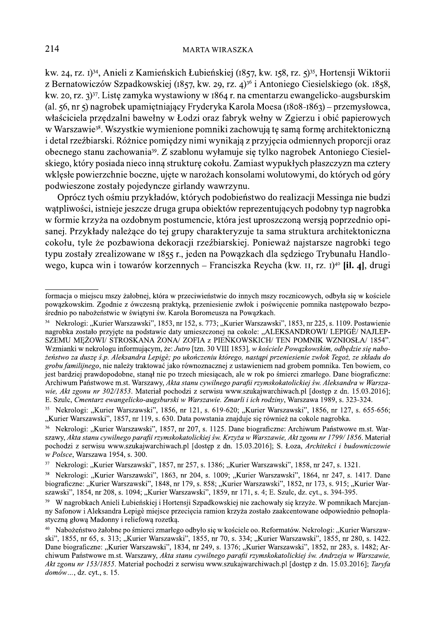kw. 24, rz. I)<sup>34</sup>, Anieli z Kamieńskich Łubieńskiej (1857, kw. 158, rz. 5)<sup>35</sup>, Hortensji Wiktorii z Bernatowiczów Szpadkowskiej (1857, kw. 29, rz. 4)<sup>36</sup> i Antoniego Ciesielskiego (ok. 1858, kw. 20, rz. 3)<sup>37</sup>. Listę zamyka wystawiony w 1864 r. na cmentarzu ewangelicko-augsburskim (al. 56, nr 5) nagrobek upamiętniający Fryderyka Karola Moesa (1808-1863) – przemysłowca, właściciela przędzalni bawełny w Łodzi oraz fabryk wełny w Zgierzu i obić papierowych w Warszawie<sup>38</sup>. Wszystkie wymienione pomniki zachowują tę samą formę architektoniczną i detal rzeźbiarski. Różnice pomiędzy nimi wynikają z przyjęcia odmiennych proporcji oraz obecnego stanu zachowania<sup>39</sup>. Z szablonu wyłamuje się tylko nagrobek Antoniego Ciesielskiego, który posiada nieco inna strukturę cokołu. Zamiast wypukłych płaszczyzn ma cztery wklęsłe powierzchnie boczne, ujęte w narożach konsolami wolutowymi, do których od góry podwieszone zostały pojedyncze girlandy wawrzynu.

Oprócz tych ośmiu przykładów, których podobieństwo do realizacji Messinga nie budzi wątpliwości, istnieje jeszcze druga grupa obiektów reprezentujących podobny typ nagrobka w formie krzyża na ozdobnym postumencie, która jest uproszczoną wersją poprzednio opisanej. Przykłady należące do tej grupy charakteryzuje ta sama struktura architektoniczna cokołu, tyle że pozbawiona dekoracji rzeźbiarskiej. Ponieważ najstarsze nagrobki tego typu zostały zrealizowane w 1855 r., jeden na Powązkach dla sędziego Trybunału Handlowego, kupca win i towarów korzennych – Franciszka Reycha (kw. II, rz. I)<sup>40</sup> [il. 4], drugi

formacja o miejscu mszy żałobnej, która w przeciwieństwie do innych mszy rocznicowych, odbyła się w kościele powązkowskim. Zgodnie z ówczesną praktyką, przeniesienie zwłok i poświęcenie pomnika następowało bezpośrednio po nabożeństwie w świątyni św. Karola Boromeusza na Powązkach.

<sup>&</sup>lt;sup>34</sup> Nekrologi: "Kurier Warszawski", 1853, nr 152, s. 773; "Kurier Warszawski", 1853, nr 225, s. 1109. Postawienie nagrobka zostało przyjęte na podstawie daty umieszczonej na cokole: "ALEKSANDROWI/ LEPIGÈ/ NAJLEP-SZEMU MEŻOWI/ STROSKANA ŻONA/ZOFIA z PIEŃKOWSKICH/ TEN POMNIK WZNIOSŁA/1854". Wzmianki w nekrologu informującym, że: Jutro [tzn. 30 VIII 1853], w kościele Powązkowskim, odbędzie się nabożeństwo za dusze ś.p. Aleksandra Lepigè; po ukończeniu którego, nastąpi przeniesienie zwłok Tegoż, ze składu do grobu familijnego, nie należy traktować jako równoznacznej z ustawieniem nad grobem pomnika. Ten bowiem, co jest bardziej prawdopodobne, stanał nie po trzech miesiacach, ale w rok po śmierci zmarłego. Dane biograficzne: Archiwum Państwowe m.st. Warszawy, Akta stanu cywilnego parafii rzymskokatolickiej św. Aleksandra w Warszawie, Akt zgonu nr 302/1853. Materiał pochodzi z serwisu www.szukajwarchiwach.pl [dostep z dn. 15.03.2016]; E. Szulc, Cmentarz ewangelicko-augsburski w Warszawie. Zmarli i ich rodziny, Warszawa 1989, s. 323-324.

<sup>35</sup> Nekrologi: "Kurier Warszawski", 1856, nr 121, s. 619-620; "Kurier Warszawski", 1856, nr 127, s. 655-656; "Kurier Warszawski", 1857, nr 119, s. 630. Data powstania znajduje się również na cokole nagrobka.

Nekrologi: "Kurier Warszawski", 1857, nr 207, s. 1125. Dane biograficzne: Archiwum Państwowe m.st. Warszawy, Akta stanu cywilnego parafii rzymskokatolickiej św. Krzyża w Warszawie, Akt zgonu nr 1799/1856. Materiał pochodzi z serwisu www.szukajwarchiwach.pl [dostęp z dn. 15.03.2016]; S. Łoza, Architekci i budowniczowie w Polsce, Warszawa 1954, s. 300.

<sup>37</sup> Nekrologi: "Kurier Warszawski", 1857, nr 257, s. 1386; "Kurier Warszawski", 1858, nr 247, s. 1321.

<sup>&</sup>lt;sup>38</sup> Nekrologi: "Kurier Warszawski", 1863, nr 204, s. 1009; "Kurier Warszawski", 1864, nr 247, s. 1417. Dane biograficzne: "Kurier Warszawski", 1848, nr 179, s. 858; "Kurier Warszawski", 1852, nr 173, s. 915; "Kurier Warszawski", 1854, nr 208, s. 1094; "Kurier Warszawski", 1859, nr 171, s. 4; E. Szulc, dz. cyt., s. 394-395.

W nagrobkach Anieli Łubieńskiej i Hortensji Szpadkowskiej nie zachowały się krzyże. W pomnikach Marcjanny Safonow i Aleksandra Lepigè miejsce przeciecia ramion krzyża zostało zaakcentowane odpowiednio pełnoplastyczną głową Madonny i reliefową rozetką.

<sup>&</sup>lt;sup>40</sup> Nabożeństwo żałobne po śmierci zmarłego odbyło sie w kościele oo. Reformatów. Nekrologi: "Kurier Warszawski", 1855, nr 65, s. 313; "Kurier Warszawski", 1855, nr 70, s. 334; "Kurier Warszawski", 1855, nr 280, s. 1422. Dane biograficzne: "Kurier Warszawski", 1834, nr 249, s. 1376; "Kurier Warszawski", 1852, nr 283, s. 1482; Archiwum Państwowe m.st. Warszawy, Akta stanu cywilnego parafii rzymskokatolickiej św. Andrzeja w Warszawie, Akt zgonu nr 153/1855. Materiał pochodzi z serwisu www.szukajwarchiwach.pl [dostep z dn. 15.03.2016]; Taryfa domów..., dz. cyt., s. 15.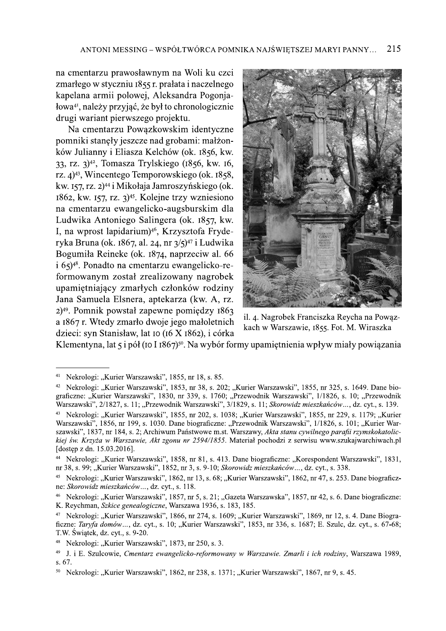na cmentarzu prawosławnym na Woli ku czci zmarłego w styczniu 1855 r. prałata i naczelnego kapelana armii polowej, Aleksandra Pogonjałowa<sup>41</sup>, należy przyjąć, że był to chronologicznie drugi wariant pierwszego projektu.

Na cmentarzu Powązkowskim identyczne pomniki stanely jeszcze nad grobami: małżonków Julianny i Eliasza Kelchów (ok. 1856, kw. 33, rz. 3)<sup>42</sup>, Tomasza Trylskiego (1856, kw. 16, rz. 4)<sup>43</sup>, Wincentego Temporowskiego (ok. 1858, kw. 157, rz. 2)<sup>44</sup> i Mikołaja Jamroszyńskiego (ok.  $1862$ , kw.  $157$ , rz.  $3$ <sup>45</sup>. Kolejne trzy wzniesiono na cmentarzu ewangelicko-augsburskim dla Ludwika Antoniego Salingera (ok. 1857, kw. I, na wprost lapidarium)<sup>46</sup>, Krzysztofa Fryderyka Bruna (ok. 1867, al. 24, nr 3/5)<sup>47</sup> i Ludwika Bogumiła Reineke (ok. 1874, naprzeciw al. 66  $(165)^{48}$ . Ponadto na cmentarzu ewangelicko-reformowanym został zrealizowany nagrobek upamiętniający zmarłych członków rodziny Jana Samuela Elsnera, aptekarza (kw. A, rz.  $2)^{49}$ . Pomnik powstał zapewne pomiędzy 1863 a 1867 r. Wtedy zmarło dwoje jego małoletnich dzieci: syn Stanisław, lat 10 (16 X 1862), i córka



il. 4. Nagrobek Franciszka Reycha na Powązkach w Warszawie, 1855. Fot. M. Wiraszka

Klementyna, lat 5 i pół (10 I 1867)<sup>50</sup>. Na wybór formy upamiętnienia wpływ miały powiązania

 $41\,$ Nekrologi: "Kurier Warszawski", 1855, nr 18, s. 85.

Nekrologi: "Kurier Warszawski", 1853, nr 38, s. 202; "Kurier Warszawski", 1855, nr 325, s. 1649. Dane bio- $42\,$ graficzne: "Kurier Warszawski", 1830, nr 339, s. 1760; "Przewodnik Warszawski", 1/1826, s. 10; "Przewodnik Warszawski", 2/1827, s. 11; "Przewodnik Warszawski", 3/1829, s. 11; Skorowidz mieszkańców..., dz. cyt., s. 139.

<sup>&</sup>lt;sup>43</sup> Nekrologi: "Kurier Warszawski", 1855, nr 202, s. 1038; "Kurier Warszawski", 1855, nr 229, s. 1179; "Kurier Warszawski", 1856, nr 199, s. 1030. Dane biograficzne: "Przewodnik Warszawski", 1/1826, s. 101; "Kurier Warszawski", 1837, nr 184, s. 2; Archiwum Państwowe m.st. Warszawy, Akta stanu cywilnego parafii rzymskokatolickiej św. Krzyża w Warszawie, Akt zgonu nr 2594/1855. Materiał pochodzi z serwisu www.szukajwarchiwach.pl [dostep z dn. 15.03.2016].

<sup>44</sup> Nekrologi: "Kurier Warszawski", 1858, nr 81, s. 413. Dane biograficzne: "Korespondent Warszawski", 1831, nr 38, s. 99; "Kurier Warszawski", 1852, nr 3, s. 9-10; Skorowidz mieszkańców..., dz. cyt., s. 338.

Nekrologi: "Kurier Warszawski", 1862, nr 13, s. 68; "Kurier Warszawski", 1862, nr 47, s. 253. Dane biograficz-45 ne: Skorowidz mieszkańców..., dz. cyt., s. 118.

Nekrologi: "Kurier Warszawski", 1857, nr 5, s. 21; "Gazeta Warszawska", 1857, nr 42, s. 6. Dane biograficzne: K. Reychman, Szkice genealogiczne, Warszawa 1936, s. 183, 185.

Nekrologi: "Kurier Warszawski", 1866, nr 274, s. 1609; "Kurier Warszawski", 1869, nr 12, s. 4. Dane Biograficzne: Taryfa domów..., dz. cyt., s. 10; "Kurier Warszawski", 1853, nr 336, s. 1687; E. Szulc, dz. cyt., s. 67-68; T.W. Świątek, dz. cyt., s. 9-20.

<sup>&</sup>lt;sup>48</sup> Nekrologi: "Kurier Warszawski", 1873, nr 250, s. 3.

<sup>49</sup> J. i E. Szulcowie, Cmentarz ewangelicko-reformowany w Warszawie. Zmarli i ich rodziny, Warszawa 1989, s. 67.

Nekrologi: "Kurier Warszawski", 1862, nr 238, s. 1371; "Kurier Warszawski", 1867, nr 9, s. 45.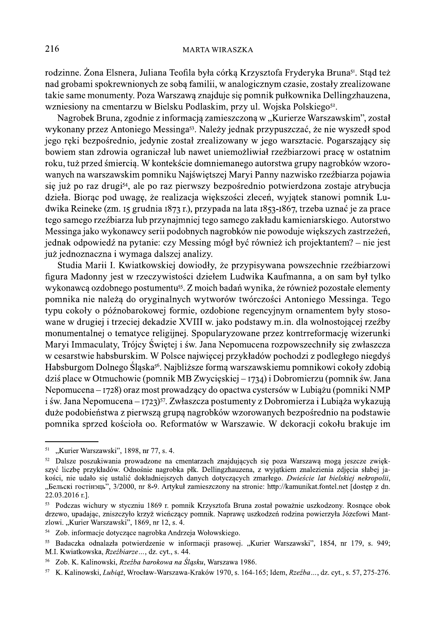## **MARTA WIRASZKA**

rodzinne. Żona Elsnera, Juliana Teofila była córką Krzysztofa Fryderyka Bruna<sup>51</sup>. Stąd też nad grobami spokrewnionych ze sobą familii, w analogicznym czasie, zostały zrealizowane takie same monumenty. Poza Warszawa znajduje się pomnik pułkownika Dellingzhauzena, wzniesiony na cmentarzu w Bielsku Podlaskim, przy ul. Wojska Polskiego<sup>52</sup>.

Nagrobek Bruna, zgodnie z informacją zamieszczoną w "Kurierze Warszawskim", został wykonany przez Antoniego Messinga<sup>53</sup>. Należy jednak przypuszczać, że nie wyszedł spod jego reki bezpośrednio, jedynie został zrealizowany w jego warsztacie. Pogarszający się bowiem stan zdrowia ograniczał lub nawet uniemożliwiał rzeźbiarzowi pracę w ostatnim roku, tuż przed śmiercią. W kontekście domniemanego autorstwa grupy nagrobków wzorowanych na warszawskim pomniku Najświętszej Maryi Panny nazwisko rzeźbiarza pojawia się już po raz drugi<sup>54</sup>, ale po raz pierwszy bezpośrednio potwierdzona zostaje atrybucja dzieła. Biorąc pod uwagę, że realizacja większości zleceń, wyjątek stanowi pomnik Ludwika Reineke (zm. 15 grudnia 1873 r.), przypada na lata 1853-1867, trzeba uznać je za prace tego samego rzeźbiarza lub przynajmniej tego samego zakładu kamieniarskiego. Autorstwo Messinga jako wykonawcy serii podobnych nagrobków nie powoduje większych zastrzeżeń, jednak odpowiedź na pytanie: czy Messing mógł być również ich projektantem? – nie jest już jednoznaczna i wymaga dalszej analizy.

Studia Marii I. Kwiatkowskiej dowiodły, że przypisywana powszechnie rzeźbiarzowi figura Madonny jest w rzeczywistości dziełem Ludwika Kaufmanna, a on sam był tylko wykonawcą ozdobnego postumentu<sup>55</sup>. Z moich badań wynika, że również pozostałe elementy pomnika nie należą do oryginalnych wytworów twórczości Antoniego Messinga. Tego typu cokoły o późnobarokowej formie, ozdobione regencyjnym ornamentem były stosowane w drugiej i trzeciej dekadzie XVIII w. jako podstawy m.in. dla wolnostojącej rzeźby monumentalnej o tematyce religijnej. Spopularyzowane przez kontrreformację wizerunki Maryi Immaculaty, Trójcy Świętej i św. Jana Nepomucena rozpowszechniły się zwłaszcza w cesarstwie habsburskim. W Polsce najwięcej przykładów pochodzi z podległego niegdyś Habsburgom Dolnego Śląska<sup>56</sup>. Najbliższe formą warszawskiemu pomnikowi cokoły zdobią dziś place w Otmuchowie (pomnik MB Zwycięskiej – 1734) i Dobromierzu (pomnik św. Jana Nepomucena – 1728) oraz most prowadzący do opactwa cystersów w Lubiażu (pomniki NMP i św. Jana Nepomucena – 1723)<sup>57</sup>. Zwłaszcza postumenty z Dobromierza i Lubiąża wykazują duże podobieństwa z pierwszą grupą nagrobków wzorowanych bezpośrednio na podstawie pomnika sprzed kościoła oo. Reformatów w Warszawie. W dekoracji cokołu brakuje im

 $51$ "Kurier Warszawski", 1898, nr 77, s. 4.

<sup>52</sup> Dalsze poszukiwania prowadzone na cmentarzach znajdujących się poza Warszawą mogą jeszcze zwiększyć liczbę przykładów. Odnośnie nagrobka płk. Dellingzhauzena, z wyjątkiem znalezienia zdjęcia słabej jakości, nie udało się ustalić dokładniejszych danych dotyczących zmarłego. Dwieście lat bielskiej nekropolii, "Бельскі гостінэць", 3/2000, nr 8-9. Artykuł zamieszczony na stronie: http://kamunikat.fontel.net [dostęp z dn. 22.03.2016 r.].

<sup>53</sup> Podczas wichury w styczniu 1869 r. pomnik Krzysztofa Bruna został poważnie uszkodzony. Rosnące obok drzewo, upadając, zniszczyło krzyż wieńczący pomnik. Naprawę uszkodzeń rodzina powierzyła Józefowi Mantzlowi. "Kurier Warszawski", 1869, nr 12, s. 4.

<sup>54</sup> Zob. informacje dotyczące nagrobka Andrzeja Wołowskiego.

<sup>55</sup> Badaczka odnalazła potwierdzenie w informacji prasowej. "Kurier Warszawski", 1854, nr 179, s. 949; M.I. Kwiatkowska, Rzeźbiarze..., dz. cyt., s. 44.

<sup>56</sup> Zob. K. Kalinowski, Rzeźba barokowa na Śląsku, Warszawa 1986.

<sup>57</sup> K. Kalinowski, Lubiaż, Wrocław-Warszawa-Kraków 1970, s. 164-165; Idem, Rzeźba..., dz. cyt., s. 57, 275-276.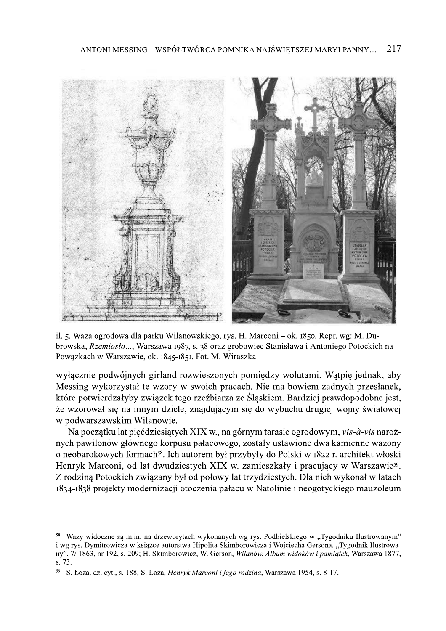

il. 5. Waza ogrodowa dla parku Wilanowskiego, rys. H. Marconi – ok. 1850. Repr. wg: M. Dubrowska, Rzemiosło..., Warszawa 1987, s. 38 oraz grobowiec Stanisława i Antoniego Potockich na Powązkach w Warszawie, ok. 1845-1851. Fot. M. Wiraszka

wyłącznie podwójnych girland rozwieszonych pomiędzy wolutami. Wątpię jednak, aby Messing wykorzystał te wzory w swoich pracach. Nie ma bowiem żadnych przesłanek, które potwierdzałyby związek tego rzeźbiarzą ze Śląskiem. Bardziej prawdopodobne jest, że wzorował się na innym dziele, znajdującym się do wybuchu drugiej wojny światowej w podwarszawskim Wilanowie.

Na początku lat pięćdziesiątych XIX w., na górnym tarasie ogrodowym, vis-à-vis narożnych pawilonów głównego korpusu pałacowego, zostały ustawione dwa kamienne wazony o neobarokowych formach<sup>58</sup>. Ich autorem był przybyły do Polski w 1822 r. architekt włoski Henryk Marconi, od lat dwudziestych XIX w. zamieszkały i pracujący w Warszawie<sup>59</sup>. Z rodziną Potockich związany był od połowy lat trzydziestych. Dla nich wykonał w latach 1834-1838 projekty modernizacji otoczenia pałacu w Natolinie i neogotyckiego mauzoleum

Wazy widoczne są m.in. na drzeworytach wykonanych wg rys. Podbielskiego w "Tygodniku Ilustrowanym" i wg rys. Dymitrowicza w książce autorstwa Hipolita Skimborowicza i Wojciecha Gersona. "Tygodnik Ilustrowany", 7/1863, nr 192, s. 209; H. Skimborowicz, W. Gerson, Wilanów. Album widoków i pamiątek, Warszawa 1877, s. 73.

S. Łoza, dz. cyt., s. 188; S. Łoza, Henryk Marconi i jego rodzina, Warszawa 1954, s. 8-17.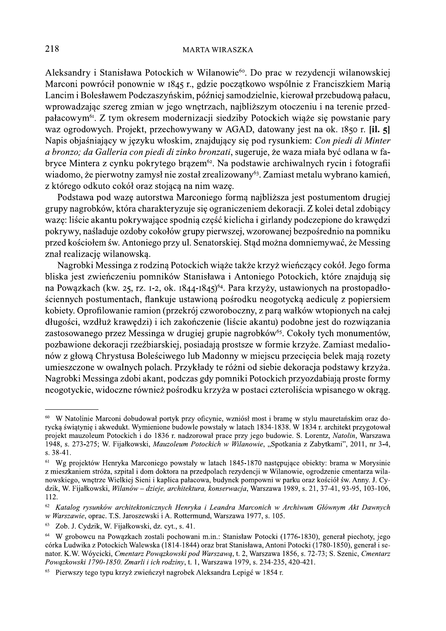Aleksandry i Stanisława Potockich w Wilanowie<sup>60</sup>. Do prac w rezydencji wilanowskiej Marconi powrócił ponownie w 1845 r., gdzie początkowo wspólnie z Franciszkiem Marią Lancim i Bolesławem Podczaszyńskim, później samodzielnie, kierował przebudowa pałacu, wprowadzając szereg zmian w jego wnętrzach, najbliższym otoczeniu i na terenie przedpałacowym<sup>61</sup>. Z tym okresem modernizacji siedziby Potockich wiąże się powstanie pary waz ogrodowych. Projekt, przechowywany w AGAD, datowany jest na ok. 1850 r. [il. 5] Napis objaśniający w języku włoskim, znajdujący się pod rysunkiem: Con piedi di Minter a bronzo; da Galleria con piedi di zinko bronzati, sugeruje, że waza miała być odlana w fabryce Mintera z cynku pokrytego brązem<sup>62</sup>. Na podstawie archiwalnych rycin i fotografii wiadomo, że pierwotny zamysł nie został zrealizowany<sup>63</sup>. Zamiast metalu wybrano kamień, z którego odkuto cokół oraz stojącą na nim wazę.

Podstawa pod wazę autorstwa Marconiego formą najbliższa jest postumentom drugiej grupy nagrobków, która charakteryzuje się ograniczeniem dekoracji. Z kolei detal zdobiacy wazę: liście akantu pokrywające spodnią część kielicha i girlandy podczepione do krawędzi pokrywy, naśladuje ozdoby cokołów grupy pierwszej, wzorowanej bezpośrednio na pomniku przed kościołem św. Antoniego przy ul. Senatorskiej. Stąd można domniemywać, że Messing znał realizację wilanowską.

Nagrobki Messinga z rodziną Potockich wiąże także krzyż wieńczący cokół. Jego forma bliska jest zwieńczeniu pomników Stanisława i Antoniego Potockich, które znajdują się na Powązkach (kw. 25, rz. 1-2, ok. 1844-1845)<sup>64</sup>. Para krzyży, ustawionych na prostopadłościennych postumentach, flankuje ustawioną pośrodku neogotycką aediculę z popiersiem kobiety. Oprofilowanie ramion (przekrój czworoboczny, z para wałków wtopionych na całej długości, wzdłuż krawędzi) i ich zakończenie (liście akantu) podobne jest do rozwiązania zastosowanego przez Messinga w drugiej grupie nagrobków<sup>65</sup>. Cokoły tych monumentów, pozbawione dekoracji rzeźbiarskiej, posiadają prostsze w formie krzyże. Zamiast medalionów z głową Chrystusa Boleściwego lub Madonny w miejscu przecięcia belek mają rozety umieszczone w owalnych polach. Przykłady te różni od siebie dekoracja podstawy krzyża. Nagrobki Messinga zdobi akant, podczas gdy pomniki Potockich przyozdabiają proste formy neogotyckie, widoczne również pośrodku krzyża w postaci czteroliścia wpisanego w okrąg.

<sup>&</sup>lt;sup>60</sup> W Natolinie Marconi dobudował portyk przy oficynie, wzniósł most i bramę w stylu mauretańskim oraz dorycka światynie i akwedukt. Wymienione budowle powstały w latach 1834-1838. W 1834 r. architekt przygotował projekt mauzoleum Potockich i do 1836 r. nadzorował prace przy jego budowie. S. Lorentz, Natolin, Warszawa 1948, s. 273-275; W. Fijałkowski, Mauzoleum Potockich w Wilanowie, "Spotkania z Zabytkami", 2011, nr 3-4,  $s. 38-41.$ 

<sup>&</sup>lt;sup>61</sup> Wg projektów Henryka Marconiego powstały w latach 1845-1870 następujące obiekty: brama w Morysinie z mieszkaniem stróża, szpital i dom doktora na przedpolach rezydencji w Wilanowie, ogrodzenie cmentarza wilanowskiego, wnętrze Wielkiej Sieni i kaplica pałacowa, budynek pompowni w parku oraz kościół św. Anny. J. Cydzik, W. Fijałkowski, Wilanów – dzieje, architektura, konserwacja, Warszawa 1989, s. 21, 37-41, 93-95, 103-106, 112.

<sup>62</sup> Katalog rysunków architektonicznych Henryka i Leandra Marconich w Archiwum Głównym Akt Dawnych w Warszawie, oprac. T.S. Jaroszewski i A. Rottermund, Warszawa 1977, s. 105.

 $63\,$ Zob. J. Cydzik, W. Fijałkowski, dz. cyt., s. 41.

<sup>64</sup> W grobowcu na Powazkach zostali pochowani m.in.: Stanisław Potocki (1776-1830), generał piechoty, jego córka Ludwika z Potockich Walewska (1814-1844) oraz brat Stanisława, Antoni Potocki (1780-1850), generał i senator. K.W. Wóycicki, Cmentarz Powązkowski pod Warszawą, t. 2, Warszawa 1856, s. 72-73; S. Szenic, Cmentarz Powązkowski 1790-1850. Zmarli i ich rodziny, t. 1, Warszawa 1979, s. 234-235, 420-421.

Pierwszy tego typu krzyż zwieńczył nagrobek Aleksandra Lepigé w 1854 r.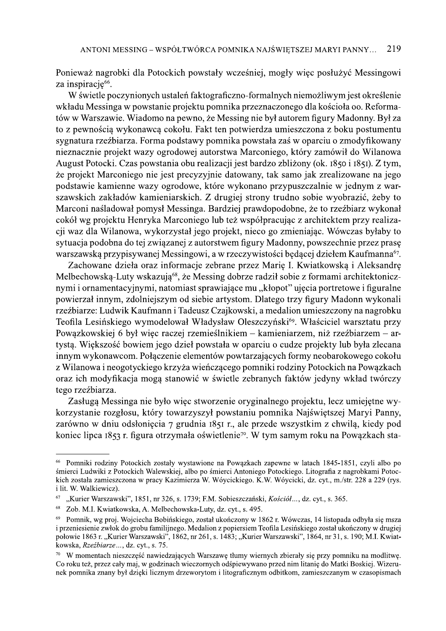Ponieważ nagrobki dla Potockich powstały wcześniej, mogły więc posłużyć Messingowi za inspirację<sup>66</sup>.

W świetle poczynionych ustaleń faktograficzno-formalnych niemożliwym jest określenie wkładu Messinga w powstanie projektu pomnika przeznaczonego dla kościoła oo. Reformatów w Warszawie. Wiadomo na pewno, że Messing nie był autorem figury Madonny. Był za to z pewnością wykonawcą cokołu. Fakt ten potwierdza umieszczona z boku postumentu sygnatura rzeźbiarza. Forma podstawy pomnika powstała zaś w oparciu o zmodyfikowany nieznacznie projekt wazy ogrodowej autorstwa Marconiego, który zamówił do Wilanowa August Potocki. Czas powstania obu realizacji jest bardzo zbliżony (ok. 1850 i 1851). Z tym, że projekt Marconiego nie jest precyzyjnie datowany, tak samo jak zrealizowane na jego podstawie kamienne wazy ogrodowe, które wykonano przypuszczalnie w jednym z warszawskich zakładów kamieniarskich. Z drugiej strony trudno sobie wyobrazić, żeby to Marconi naśladował pomysł Messinga. Bardziej prawdopodobne, że to rzeźbiarz wykonał cokół wg projektu Henryka Marconiego lub też współpracując z architektem przy realizacji waz dla Wilanowa, wykorzystał jego projekt, nieco go zmieniając. Wówczas byłaby to sytuacja podobna do tej związanej z autorstwem figury Madonny, powszechnie przez prasę warszawską przypisywanej Messingowi, a w rzeczywistości będącej dziełem Kaufmanna<sup>67</sup>.

Zachowane dzieła oraz informacje zebrane przez Marię I. Kwiatkowską i Aleksandrę Melbechowską-Luty wskazują<sup>68</sup>, że Messing dobrze radził sobie z formami architektonicznymi i ornamentacyjnymi, natomiast sprawiające mu "kłopot" ujęcia portretowe i figuralne powierzał innym, zdolniejszym od siębie artystom. Dlatego trzy figury Madonn wykonali rzeźbiarze: Ludwik Kaufmann i Tadeusz Czajkowski, a medalion umieszczony na nagrobku Teofila Lesińskiego wymodelował Władysław Oleszczyński<sup>69</sup>. Właściciel warsztatu przy Powązkowskiej 6 był więc raczej rzemieślnikiem – kamieniarzem, niż rzeźbiarzem – artystą. Większość bowiem jego dzieł powstała w oparciu o cudze projekty lub była zlecana innym wykonawcom. Połączenie elementów powtarzających formy neobarokowego cokołu z Wilanowa i neogotyckiego krzyża wieńczącego pomniki rodziny Potockich na Powązkach oraz ich modyfikacja mogą stanowić w świetle zebranych faktów jedyny wkład twórczy tego rzeźbiarza.

Zasługą Messinga nie było więc stworzenie oryginalnego projektu, lecz umiejętne wykorzystanie rozgłosu, który towarzyszył powstaniu pomnika Najświętszej Maryi Panny, zarówno w dniu odsłoniecia 7 grudnia 1851 r., ale przede wszystkim z chwilą, kiedy pod koniec lipca 1853 r. figura otrzymała oświetlenie<sup>70</sup>. W tym samym roku na Powązkach sta-

<sup>&</sup>lt;sup>66</sup> Pomniki rodziny Potockich zostały wystawione na Powązkach zapewne w latach 1845-1851, czyli albo po śmierci Ludwiki z Potockich Walewskiej, albo po śmierci Antoniego Potockiego. Litografia z nagrobkami Potockich została zamieszczona w pracy Kazimierza W. Wóycickiego. K.W. Wóycicki, dz. cyt., m./str. 228 a 229 (rys. i lit. W. Walkiewicz).

<sup>67</sup> "Kurier Warszawski", 1851, nr 326, s. 1739; F.M. Sobieszczański, Kościół..., dz. cyt., s. 365.

<sup>68</sup> Zob. M.I. Kwiatkowska, A. Melbechowska-Luty, dz. cyt., s. 495.

<sup>69</sup> Pomnik, wg proj. Wojciecha Bobińskiego, został ukończony w 1862 r. Wówczas, 14 listopada odbyła się msza i przeniesienie zwłok do grobu familijnego. Medalion z popiersiem Teofila Lesińskiego został ukończony w drugiej połowie 1863 r. "Kurier Warszawski", 1862, nr 261, s. 1483; "Kurier Warszawski", 1864, nr 31, s. 190; M.I. Kwiatkowska, Rzeźbiarze..., dz. cyt., s. 75.

<sup>70</sup> W momentach nieszcześć nawiedzających Warszawe tłumy wiernych zbierały się przy pomniku na modlitwe. Co roku też, przez cały maj, w godzinach wieczornych odśpiewywano przed nim litanie do Matki Boskiej. Wizerunek pomnika znany był dzieki licznym drzeworytom i litograficznym odbitkom, zamieszczanym w czasopismach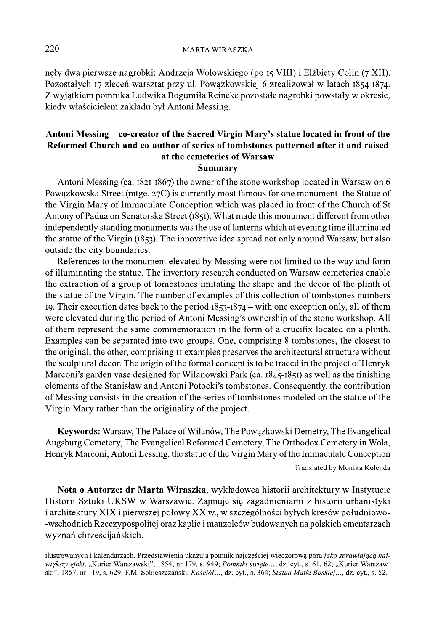neły dwa pierwsze nagrobki: Andrzeja Wołowskiego (po 15 VIII) i Elżbiety Colin (7 XII). Pozostałych 17 zleceń warsztat przy ul. Powązkowskiej 6 zrealizował w latach 1854-1874. Z wyjątkiem pomnika Ludwika Bogumiła Reineke pozostałe nagrobki powstały w okresie, kiedy właścicielem zakładu był Antoni Messing.

## Antoni Messing – co-creator of the Sacred Virgin Mary's statue located in front of the Reformed Church and co-author of series of tombstones patterned after it and raised at the cemeteries of Warsaw **Summary**

Antoni Messing (ca. 1821-1867) the owner of the stone workshop located in Warsaw on 6 Powązkowska Street (mtge. 27C) is currently most famous for one monument- the Statue of the Virgin Mary of Immaculate Conception which was placed in front of the Church of St Antony of Padua on Senatorska Street (1851). What made this monument different from other independently standing monuments was the use of lanterns which at evening time illuminated the statue of the Virgin (1853). The innovative idea spread not only around Warsaw, but also outside the city boundaries.

References to the monument elevated by Messing were not limited to the way and form of illuminating the statue. The inventory research conducted on Warsaw cemeteries enable the extraction of a group of tombstones imitating the shape and the decor of the plinth of the statue of the Virgin. The number of examples of this collection of tombstones numbers 19. Their execution dates back to the period  $1853-1874$  – with one exception only, all of them were elevated during the period of Antoni Messing's ownership of the stone workshop. All of them represent the same commemoration in the form of a crucifix located on a plinth. Examples can be separated into two groups. One, comprising 8 tombstones, the closest to the original, the other, comprising II examples preserves the architectural structure without the sculptural decor. The origin of the formal concept is to be traced in the project of Henryk Marconi's garden vase designed for Wilanowski Park (ca. 1845-1851) as well as the finishing elements of the Stanisław and Antoni Potocki's tombstones. Consequently, the contribution of Messing consists in the creation of the series of tombstones modeled on the statue of the Virgin Mary rather than the originality of the project.

Keywords: Warsaw, The Palace of Wilanów, The Powazkowski Demetry, The Evangelical Augsburg Cemetery, The Evangelical Reformed Cemetery, The Orthodox Cemetery in Wola, Henryk Marconi, Antoni Lessing, the statue of the Virgin Mary of the Immaculate Conception

Translated by Monika Kolenda

Nota o Autorze: dr Marta Wiraszka, wykładowca historii architektury w Instytucie Historii Sztuki UKSW w Warszawie. Zajmuje się zagadnieniami z historii urbanistyki i architektury XIX i pierwszej połowy XX w., w szczególności byłych kresów południowo--wschodnich Rzeczypospolitej oraz kaplic i mauzoleów budowanych na polskich cmentarzach wyznań chrześcijańskich.

220

ilustrowanych i kalendarzach. Przedstawienia ukazują pomnik najcześciej wieczorową pora jako sprawiającą największy efekt. "Kurier Warszawski", 1854, nr 179, s. 949; Pomniki święte..., dz. cyt., s. 61, 62; "Kurier Warszawski", 1857, nr 119, s. 629; F.M. Sobieszczański, Kościół..., dz. cyt., s. 364; Statua Matki Boskiej..., dz. cyt., s. 52.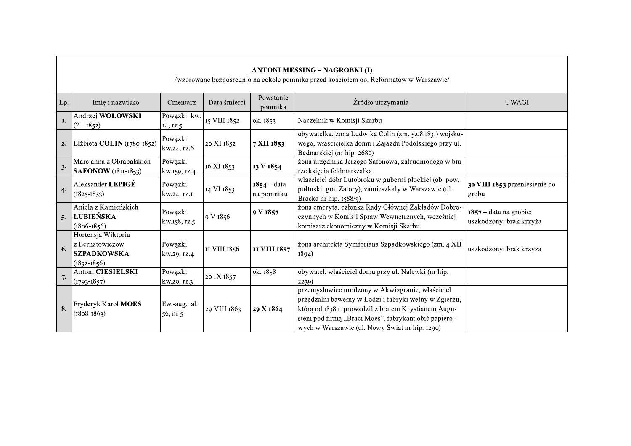| <b>ANTONI MESSING – NAGROBKI (I)</b><br>/wzorowane bezpośrednio na cokole pomnika przed kościołem oo. Reformatów w Warszawie/ |                                                                                |                                |              |                             |                                                                                                                                                                                                                                                                             |                                                     |  |  |  |  |
|-------------------------------------------------------------------------------------------------------------------------------|--------------------------------------------------------------------------------|--------------------------------|--------------|-----------------------------|-----------------------------------------------------------------------------------------------------------------------------------------------------------------------------------------------------------------------------------------------------------------------------|-----------------------------------------------------|--|--|--|--|
| Lp.                                                                                                                           | Imię i nazwisko                                                                | Cmentarz                       | Data śmierci | Powstanie<br>pomnika        | Źródło utrzymania                                                                                                                                                                                                                                                           | <b>UWAGI</b>                                        |  |  |  |  |
| I.                                                                                                                            | Andrzej WOŁOWSKI<br>$(? - 1852)$                                               | Powązki: kw.<br>14, rz.5       | 15 VIII 1852 | ok. 1853                    | Naczelnik w Komisji Skarbu                                                                                                                                                                                                                                                  |                                                     |  |  |  |  |
| 2.                                                                                                                            | Elżbieta COLIN (1780-1852)                                                     | Powązki:<br>kw.24, rz.6        | 20 XI 1852   | 7 XII 1853                  | obywatelka, żona Ludwika Colin (zm. 5.08.1831) wojsko-<br>wego, właścicielka domu i Zajazdu Podolskiego przy ul.<br>Bednarskiej (nr hip. 2680)                                                                                                                              |                                                     |  |  |  |  |
| 3.                                                                                                                            | Marcjanna z Obrąpalskich<br><b>SAFONOW</b> (1811-1853)                         | Powązki:<br>kw.159, rz.4       | 16 XI 1853   | 13 V 1854                   | żona urzędnika Jerzego Safonowa, zatrudnionego w biu-<br>rze księcia feldmarszałka                                                                                                                                                                                          |                                                     |  |  |  |  |
| 4.                                                                                                                            | Aleksander LEPIGÉ<br>$(1825 - 1853)$                                           | Powązki:<br>kw.24, rz.1        | 14 VI 1853   | $1854 - data$<br>na pomniku | właściciel dóbr Lutobroku w guberni płockiej (ob. pow.<br>pułtuski, gm. Zatory), zamieszkały w Warszawie (ul.<br>Bracka nr hip. 1588/9)                                                                                                                                     | 30 VIII 1853 przeniesienie do<br>grobu              |  |  |  |  |
| 5.                                                                                                                            | Aniela z Kamieńskich<br> ŁUBIEŃSKA<br>$(1806 - 1856)$                          | Powązki:<br>kw.158, rz.5       | 9 V 1856     | 9 V 1857                    | żona emeryta, członka Rady Głównej Zakładów Dobro-<br>czynnych w Komisji Spraw Wewnętrznych, wcześniej<br>komisarz ekonomiczny w Komisji Skarbu                                                                                                                             | $1857 - data$ na grobie;<br>uszkodzony: brak krzyża |  |  |  |  |
| 6.                                                                                                                            | Hortensja Wiktoria<br>z Bernatowiczów<br><b>SZPADKOWSKA</b><br>$(1832 - 1856)$ | Powązki:<br>kw.29, rz.4        | II VIII 1856 | II VIII 1857                | zona architekta Symforiana Szpadkowskiego (zm. 4 XII<br>1894)                                                                                                                                                                                                               | uszkodzony: brak krzyża                             |  |  |  |  |
| 7.                                                                                                                            | Antoni CIESIELSKI<br>$(1793 - 1857)$                                           | Powązki:<br>kw.20, rz.3        | 20 IX 1857   | ok. 1858                    | obywatel, właściciel domu przy ul. Nalewki (nr hip.<br>2239)                                                                                                                                                                                                                |                                                     |  |  |  |  |
| 8.                                                                                                                            | Fryderyk Karol MOES<br>$(1808 - 1863)$                                         | Ew.-aug.: al.<br>$56$ , nr $5$ | 29 VIII 1863 | 29 X 1864                   | przemysłowiec urodzony w Akwizgranie, właściciel<br>przędzalni bawełny w Łodzi i fabryki wełny w Zgierzu,<br>którą od 1838 r. prowadził z bratem Krystianem Augu-<br>stem pod firmą "Braci Moes", fabrykant obić papiero-<br>wych w Warszawie (ul. Nowy Świat nr hip. 1290) |                                                     |  |  |  |  |